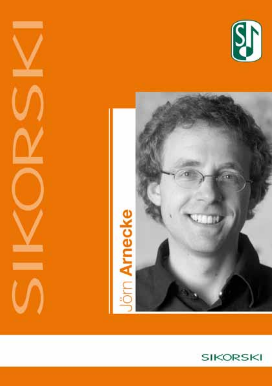



 $\overline{\phantom{a}}$ 

--

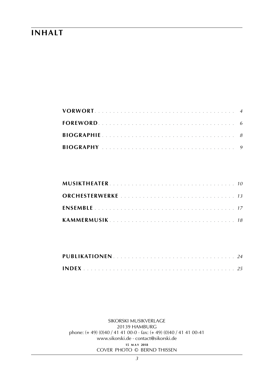# **inhalt**

sikorski Musikverlage 20139 hamburg phone: (+ 49) (0)40 / 41 41 00-0 · fax: (+ 49) (0)40 / 41 41 00-41 www.sikorski.de · contact@sikorski.de **15 m a y 2018** cover photo © bernd thissen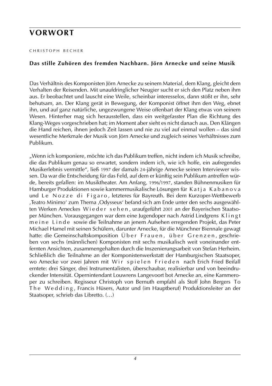# **vorwort**

#### C H R I S T O P H B E C H E R

#### **Das stille Zuhören des fremden Nachbarn. Jörn Arnecke und seine Musik**

Das Verhältnis des Komponisten Jörn Arnecke zu seinem Material, dem Klang, gleicht dem Verhalten der Reisenden. Mit unaufdringlicher Neugier sucht er sich den Platz neben ihm aus. Er beobachtet und lauscht eine Weile, scheinbar interesselos, dann stößt er ihn, sehr behutsam, an. Der Klang gerät in Bewegung, der Komponist öffnet ihm den Weg, ebnet ihn, und auf ganz natürliche, ungezwungene Weise offenbart der Klang etwas von seinem Wesen. Hinterher mag sich herausstellen, dass ein weitgefasster Plan die Richtung des Klang-Weges vorgeschrieben hat; im Moment aber sieht es nicht danach aus. Den Klängen die Hand reichen, ihnen jedoch Zeit lassen und nie zu viel auf einmal wollen – das sind wesentliche Merkmale der Musik von Jörn Arnecke und zugleich seines Verhältnisses zum Publikum.

"Wenn ich komponiere, möchte ich das Publikum treffen, nicht indem ich Musik schreibe, die das Publikum genau so erwartet, sondern indem ich, wie ich hoffe, ein aufregendes Musikerlebnis vermittle", ließ 1997 der damals 24-jährige Arnecke seinen Interviewer wissen. Da war die Entscheidung für das Feld, auf dem er künftig sein Publikum antreffen würde, bereits gefallen: im Musiktheater. Am Anfang, 1996/1997, standen Bühnenmusiken für Hamburger Produktionen sowie kammermusikalische Lösungen für Katja Kabanova und Le Nozze di Figaro, letzteres für Bayreuth. Bei dem Kurzoper-Wettbewerb ,Teatro Minimo' zum Thema ,Odysseus' befand sich am Ende unter den sechs ausgewählten Werken Arneckes Wieder sehen, uraufgeführt 2001 an der Bayerischen Staatsoper München. Vorausgegangen war dem eine Jugendoper nach Astrid Lindgrens K l i n g t m e i n e L i n d e sowie die Teilnahme an jenem Aufsehen erregenden Projekt, das Peter Michael Hamel mit seinen Schülern, darunter Arnecke, für die Münchner Biennale gewagt hatte: die Gemeinschaftskomposition Über Frauen, über Grenzen, geschrieben von sechs (männlichen) Komponisten mit sechs musikalisch weit voneinander entfernten Ansichten, zusammengehalten durch die Inszenierungsarbeit von Stefan Herheim. Schließlich die Teilnahme an der Komponistenwerkstatt der Hamburgischen Staatsoper, wo Arnecke vor zwei Jahren mit Wir spielen Frieden nach Erich Fried Beifall erntete: drei Sänger, drei Instrumentalisten, überschaubar, realisierbar und von beeindruckender Intensität. Opernintendant Louwrens Langevoort bot Arnecke an, eine Kammeroper zu schreiben. Regisseur Christoph von Bernuth empfahl als Stoff John Bergers To The Wedding, Francis Hüsers, Autor und (im Hauptberuf) Produktionsleiter an der Staatsoper, schrieb das Libretto. (…)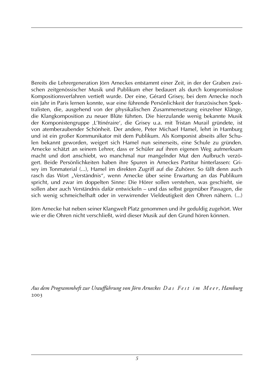Bereits die Lehrergeneration Jörn Arneckes entstammt einer Zeit, in der der Graben zwischen zeitgenössischer Musik und Publikum eher bedauert als durch kompromisslose Kompositionsverfahren vertieft wurde. Der eine, Gérard Grisey, bei dem Arnecke noch ein Jahr in Paris lernen konnte, war eine führende Persönlichkeit der französischen Spektralisten, die, ausgehend von der physikalischen Zusammensetzung einzelner Klänge, die Klangkomposition zu neuer Blüte führten. Die hierzulande wenig bekannte Musik der Komponistengruppe ,L'Itinéraire', die Grisey u.a. mit Tristan Murail gründete, ist von atemberaubender Schönheit. Der andere, Peter Michael Hamel, lehrt in Hamburg und ist ein großer Kommunikator mit dem Publikum. Als Komponist abseits aller Schulen bekannt geworden, weigert sich Hamel nun seinerseits, eine Schule zu gründen. Arnecke schätzt an seinem Lehrer, dass er Schüler auf ihren eigenen Weg aufmerksam macht und dort anschiebt, wo manchmal nur mangelnder Mut den Aufbruch verzögert. Beide Persönlichkeiten haben ihre Spuren in Arneckes Partitur hinterlassen: Grisey im Tonmaterial (...), Hamel im direkten Zugriff auf die Zuhörer. So fällt denn auch rasch das Wort "Verständnis", wenn Arnecke über seine Erwartung an das Publikum spricht, und zwar im doppelten Sinne: Die Hörer sollen verstehen, was geschieht, sie sollen aber auch Verständnis dafür entwickeln – und das selbst gegenüber Passagen, die sich wenig schmeichelhaft oder in verwirrender Vieldeutigkeit den Ohren nähern. (...)

Jörn Arnecke hat neben seiner Klangwelt Platz genommen und ihr geduldig zugehört. Wer wie er die Ohren nicht verschließt, wird dieser Musik auf den Grund hören können.

*Aus dem Programmheft zur Uraufführung von Jörn Arneckes D a s F e s t i m M e e r , Hamburg*  2003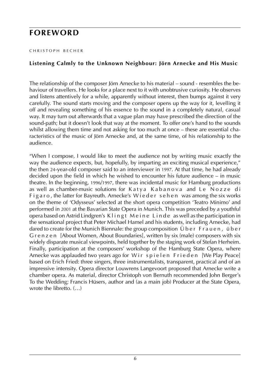# **foreword**

#### C H R I S T O P H B E C H E R

## **Listening Calmly to the Unknown Neighbour: Jörn Arnecke and His Music**

The relationship of the composer Jörn Arnecke to his material – sound - resembles the behaviour of travellers. He looks for a place next to it with unobtrusive curiosity. He observes and listens attentively for a while, apparently without interest, then bumps against it very carefully. The sound starts moving and the composer opens up the way for it, levelling it off and revealing something of his essence to the sound in a completely natural, casual way. It may turn out afterwards that a vague plan may have prescribed the direction of the sound-path; but it doesn't look that way at the moment. To offer one's hand to the sounds whilst allowing them time and not asking for too much at once – these are essential characteristics of the music of Jörn Arnecke and, at the same time, of his relationship to the audience.

"When I compose, I would like to meet the audience not by writing music exactly the way the audience expects, but, hopefully, by imparting an exciting musical experience," the then 24-year-old composer said to an interviewer in 1997. At that time, he had already decided upon the field in which he wished to encounter his future audience – in music theatre. In the beginning, 1996/1997, there was incidental music for Hamburg productions as well as chamber-music solutions for Katya Kabanova and Le Nozze di Figaro, the latter for Bayreuth. Arnecke's Wieder sehen was among the six works on the theme of 'Odysseus' selected at the short opera competition 'Teatro Minimo' and performed in 2001 at the Bavarian State Opera in Munich. This was preceded by a youthful opera based on Astrid Lindgren's K l i n g t Me i n e L i n d e as well as the participation in the sensational project that Peter Michael Hamel and his students, including Arnecke, had dared to create for the Munich Biennale: the group composition Über Frauen, über G r e n z e n [About Women, About Boundaries], written by six (male) composers with six widely disparate musical viewpoints, held together by the staging work of Stefan Herheim. Finally, participation at the composers' workshop of the Hamburg State Opera, where Arnecke was applauded two years ago for Wir spielen Frieden [We Play Peace] based on Erich Fried: three singers, three instrumentalists, transparent, practical and of an impressive intensity. Opera director Louwrens Langevoort proposed that Arnecke write a chamber opera. As material, director Christoph von Bernuth recommended John Berger's To the Wedding; Francis Hüsers, author and (as a main job) Producer at the State Opera, wrote the libretto. ()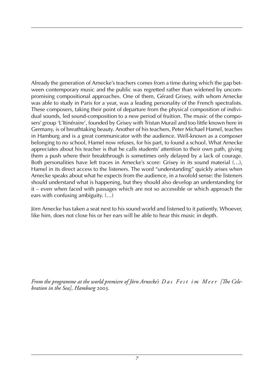Already the generation of Arnecke's teachers comes from a time during which the gap between contemporary music and the public was regretted rather than widened by uncompromising compositional approaches. One of them, Gérard Grisey, with whom Arnecke was able to study in Paris for a year, was a leading personality of the French spectralists. These composers, taking their point of departure from the physical composition of individual sounds, led sound-composition to a new period of fruition. The music of the composers' group 'L'Itinéraire', founded by Grisey with Tristan Murail and too little known here in Germany, is of breathtaking beauty. Another of his teachers, Peter Michael Hamel, teaches in Hamburg and is a great communicator with the audience. Well-known as a composer belonging to no school, Hamel now refuses, for his part, to found a school. What Arnecke appreciates about his teacher is that he calls students' attention to their own path, giving them a push where their breakthrough is sometimes only delayed by a lack of courage. Both personalities have left traces in Arnecke's score: Grisey in its sound material (…), Hamel in its direct access to the listeners. The word "understanding" quickly arises when Arnecke speaks about what he expects from the audience, in a twofold sense: the listeners should understand what is happening, but they should also develop an understanding for it – even when faced with passages which are not so accessible or which approach the ears with confusing ambiguity. (…)

Jörn Arnecke has taken a seat next to his sound world and listened to it patiently. Whoever, like him, does not close his or her ears will be able to hear this music in depth.

From the programme at the world premiere of Jörn Arnecke's D a s Fest im Meer [The Cele*bration in the Sea], Hamburg* 2003*.*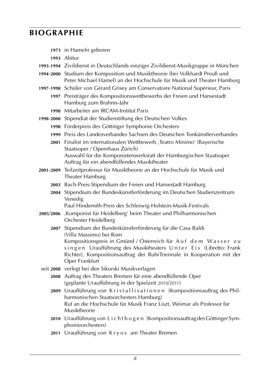# **biographie**

- **1973** in Hameln geboren
- **1993** Abitur
- **1993**-**1994** Zivildienst in Deutschlands einziger Zivildienst-Musikgruppe in München
- **1994**-**2000** Studium der Komposition und Musiktheorie (bei Volkhardt Preuß und Peter Michael Hamel) an der Hochschule für Musik und Theater Hamburg
- **1997**-**1998** Schüler von Gérard Grisey am Conservatoire National Supérieur, Paris
	- **1997** Preisträger des Kompositionswettbewerbs der Freien und Hansestadt Hamburg zum Brahms-Jahr
	- **1998** Mitarbeiter am IRCAM-Institut Paris
- **1998**-**2000** Stipendiat der Studienstiftung des Deutschen Volkes
	- **1998** Förderpreis des Göttinger Symphonie Orchesters
	- **1999** Preis des Landesverbandes Sachsen des Deutschen Tonkünstlerverbandes
	- **2001** Finalist im internationalen Wettbewerb ,Teatro Minimo' (Bayerische Staatsoper / Opernhaus Zürich) Auswahl für die Komponistenwerkstatt der Hamburgischen Staatsoper Auftrag für ein abendfüllendes Musiktheater
- **2001**-**2009** Teilzeitprofessur für Musiktheorie an der Hochschule für Musik und Theater Hamburg
	- **2003** Bach-Preis-Stipendium der Freien und Hansestadt Hamburg
	- **2004** Stipendium der Bundeskünstlerförderung im Deutschen Studienzentrum Venedig

Paul Hindemith-Preis des Schleswig-Holstein-Musik-Festivals

- **2005**/**2006** ,Komponist für Heidelberg' beim Theater und Philharmonischen Orchester Heidelberg
	- **2007** Stipendium der Bundeskünstlerförderung für die Casa Baldi (Villa Massimo) bei Rom Kompositionspreis in Gmünd / Österreich für Auf dem Wasser zu singen Uraufführung des Musiktheaters Unter Eis (Libretto: Frank Richter), Kompositionsauftrag der RuhrTriennale in Kooperation mit der Oper Frankfurt
- seit **2008** verlegt bei den Sikorski Musikverlagen
	- **2008** Auftrag des Theaters Bremen für eine abendfüllende Oper (geplante Uraufführung in der Spielzeit 2010/2011)
	- 2009 Uraufführung von Kristallisationen (Kompositionsauftrag des Philharmonischen Staatsorchesters Hamburg) Ruf an die Hochschule für Musik Franz Liszt, Weimar als Professor für Musiktheorie
	- **2010** Uraufführung von L i c h t b o g e n (Kompositionsauftrag des Göttinger Symphonieorchesters)
	- **2011** Uraufführung von K r y o s am Theater Bremen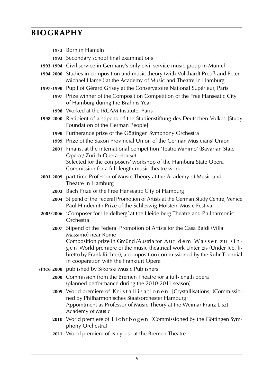# **biography**

| 1973 Born in Hameln                                                                                                                                                                                                                                                   |
|-----------------------------------------------------------------------------------------------------------------------------------------------------------------------------------------------------------------------------------------------------------------------|
| 1993 Secondary school final examinations                                                                                                                                                                                                                              |
| 1993-1994 Civil service in Germany's only civil service music group in Munich                                                                                                                                                                                         |
| 1994-2000 Studies in composition and music theory (with Volkhardt Preuß and Peter<br>Michael Hamel) at the Academy of Music and Theatre in Hamburg                                                                                                                    |
| 1997-1998 Pupil of Gérard Grisey at the Conservatoire National Supérieur, Paris                                                                                                                                                                                       |
| 1997 Prize winner of the Composition Competition of the Free Hanseatic City<br>of Hamburg during the Brahms Year                                                                                                                                                      |
| 1998 Worked at the IRCAM Institute, Paris                                                                                                                                                                                                                             |
| 1998-2000 Recipient of a stipend of the Studienstiftung des Deutschen Volkes [Study<br>Foundation of the German People]                                                                                                                                               |
| 1998 Furtherance prize of the Göttingen Symphony Orchestra                                                                                                                                                                                                            |
| 1999 Prize of the Saxon Provincial Union of the German Musicians' Union                                                                                                                                                                                               |
| 2001 Finalist at the international competition 'Teatro Minimo' (Bavarian State<br>Opera / Zurich Opera House)                                                                                                                                                         |
| Selected for the composers' workshop of the Hamburg State Opera<br>Commission for a full-length music theatre work                                                                                                                                                    |
| 2001-2009 part-time Professor of Music Theory at the Academy of Music and<br>Theatre in Hamburg                                                                                                                                                                       |
| 2003 Bach Prize of the Free Hanseatic City of Hamburg                                                                                                                                                                                                                 |
| 2004 Stipend of the Federal Promotion of Artists at the German Study Centre, Venice<br>Paul Hindemith Prize of the Schleswig-Holstein Music Festival                                                                                                                  |
| 2005/2006 'Composer for Heidelberg' at the Heidelberg Theatre and Philharmonic<br>Orchestra                                                                                                                                                                           |
| 2007 Stipend of the Federal Promotion of Artists for the Casa Baldi (Villa<br>Massimo) near Rome                                                                                                                                                                      |
| Composition prize in Gmünd / Austria for Auf dem Wasser zu sin-<br>gen World premiere of the music theatrical work Unter Eis (Under Ice, li-<br>bretto by Frank Richter), a composition commissioned by the Ruhr Triennial<br>in cooperation with the Frankfurt Opera |
| since 2008 published by Sikorski Music Publishers                                                                                                                                                                                                                     |
| 2008 Commission from the Bremen Theatre for a full-length opera<br>(planned performance during the 2010-2011 season)                                                                                                                                                  |
| 2009 World premiere of Kristallisationen [Crystallisations] (Commissio-<br>ned by Philharmonisches Staatsorchester Hamburg)<br>Appointment as Professor of Music Theory at the Weimar Franz Liszt<br>Academy of Music                                                 |
| 2010 World premiere of Lichtbogen (Commissioned by the Göttingen Sym-<br>phony Orchestra)                                                                                                                                                                             |
| 2011 World premiere of Kryos at the Bremen Theatre                                                                                                                                                                                                                    |
|                                                                                                                                                                                                                                                                       |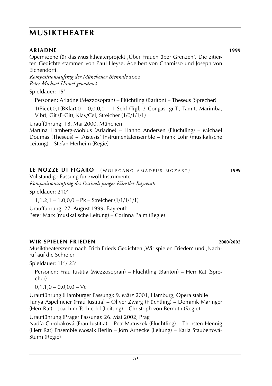# **musiktheater**

**Ariadne 1999** Opernszene für das Musiktheaterprojekt ,Über Frauen über Grenzen'. Die zitierten Gedichte stammen von Paul Heyse, Adelbert von Chamisso und Joseph von Eichendorff.

*Kompositionsauftrag der Münchener Biennale* 2000 *Peter Michael Hamel gewidmet*

Spieldauer: 15'

Personen: Ariadne (Mezzosopran) – Flüchtling (Bariton) – Theseus (Sprecher)

1(Picc),0,1(BKlar),0 – 0,0,0,0 – 1 Schl (Trgl, 3 Congas, gr.Tr, Tam-t, Marimba, Vibr), Git (E-Git), Klav/Cel, Streicher (1/0/1/1/1)

Uraufführung: 18. Mai 2000, München

Martina Hamberg-Möbius (Ariadne) – Hanno Andersen (Flüchtling) – Michael Doumas (Theseus) – ,Aistesis' Instrumentalensemble – Frank Löhr (musikalische Leitung) – Stefan Herheim (Regie)

## **LE NOZZE DI FIGARO** (WOLFGANG AMADEUS MOZART) 1999

Vollständige Fassung für zwölf Instrumente *Kompositionsauftrag des Festivals junger Künstler Bayreuth* Spieldauer: 210'

1,1,2,1 – 1,0,0,0 – Pk – Streicher (1/1/1/1/1)

Uraufführung: 27. August 1999, Bayreuth Peter Marx (musikalische Leitung) – Corinna Palm (Regie)

## **wir spielen frieden 2000**/**2002**

Musiktheaterszene nach Erich Frieds Gedichten ,Wir spielen Frieden' und ,Nachruf auf die Schreier'

Spieldauer: 11' / 23'

Personen: Frau Iustitia (Mezzosopran) – Flüchtling (Bariton) – Herr Rat (Sprecher)

 $0,1,1,0 - 0,0,0,0 - Vc$ 

Uraufführung (Hamburger Fassung): 9. März 2001, Hamburg, Opera stabile Tanya Aspelmeier (Frau Iustitia) – Oliver Zwarg (Flüchtling) – Dominik Maringer (Herr Rat) – Joachim Tschiedel (Leitung) – Christoph von Bernuth (Regie)

Uraufführung (Prager Fassung): 26. Mai 2002, Prag

Nad'a Chrobáková (Frau Iustitia) – Petr Matuszek (Flüchtling) – Thorsten Hennig (Herr Rat) Ensemble Mosaik Berlin – Jörn Arnecke (Leitung) – Karla Staubertová-Sturm (Regie)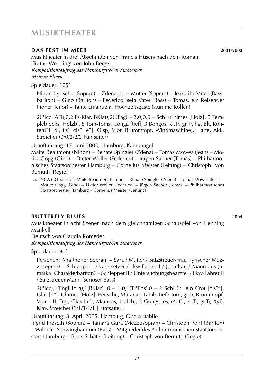## **musiktheater**

#### **Das Fest im Meer 2001**/**2002**

Musiktheater in drei Abschnitten von Francis Hüsers nach dem Roman ,To the Wedding' von John Berger *Kompositionsauftrag der Hamburgischen Staatsoper Meinen Eltern*

Spieldauer: 105'

Ninon (lyrischer Sopran) – Zdena, ihre Mutter (Sopran) – Jean, ihr Vater (Bassbariton) – Gino (Bariton) – Federico, sein Vater (Bass) – Tomas, ein Reisender (hoher Tenor) – Tante Emanuela, Hochzeitsgäste (stumme Rollen)

2(Picc, AFl),0,2(Es-Klar, BKlar),2(KFag) – 2,0,0,0 – Schl (Chimes [Holz], 5 Templeblocks, Holzbl, 5 Tom-Toms, Conga [tief], 3 Bongos, kl.Tr, gr.Tr, hg. Bk, RöhrenGl [d', fis', cis'', e''], Glsp, Vibr, Brummtopf, Windmaschine), Harfe, Akk, Streicher (0/0/2/2/2 Fünfsaiter)

Uraufführung: 17. Juni 2003, Hamburg, Kampnagel

Maite Beaumont (Ninon) – Renate Spingler (Zdena) – Tomas Möwes (Jean) – Moritz Gogg (Gino) – Dieter Weller (Federico) – Jürgen Sacher (Tomas) – Philharmonisches Staatsorchester Hamburg – Cornelius Meister (Leitung) – Christoph von Bernuth (Regie)

**cd**: NCA 60155-315 · Maite Beaumont (Ninon) – Renate Spingler (Zdena) – Tomas Möwes (Jean) – Moritz Gogg (Gino) – Dieter Weller (Federico) – Jürgen Sacher (Tomas) – Philharmonisches Staatsorchester Hamburg – Cornelius Meister (Leitung)

## **BUTTERFLY BLUES** 2004

Musiktheater in acht Szenen nach dem gleichnamigen Schauspiel von Henning Mankell

Deutsch von Claudia Romeder

*Kompositionsauftrag der Hamburgischen Staatsoper* 

Spieldauer: 90'

Personen: Ana (hoher Sopran) – Sara / Mutter / Salzstreuer-Frau (lyrischer Mezzosopran) – Schlepper I / Übersetzer / Lkw-Fahrer I / Jonathan / Mann aus Jamaika (Charakterbariton) – Schlepper II / Untersuchungsbeamter / Lkw-Fahrer II / Salzstreuer-Mann (seriöser Bass)

2(Picc),1(EnglHorn),1(BKlar), 0 – 1,0,1(TBPos),0 – 2 Schl (I: ein Crot [cis''''], Glas [h''], Chimes [Holz], Peitsche, Maracas, Tamb, tiefe Tom, gr.Tr, Brummtopf, Vibr – II: Trgl, Glas [a''], Maracas, Holzbl, 3 Gongs [es, e', f'], kl.Tr, gr.Tr, Xyl), Klav, Streicher (1/1/1/1/1 [Fünfsaiter])

Uraufführung: 8. April 2005, Hamburg, Opera stabile

Ingrid Frøseth (Sopran) – Tamara Gura (Mezzosopran) – Christoph Pohl (Bariton) – Wilhelm Schwinghammer (Bass) – Mitglieder des Philharmonischen Staatsorchesters Hamburg – Boris Schäfer (Leitung) – Christoph von Bernuth (Regie)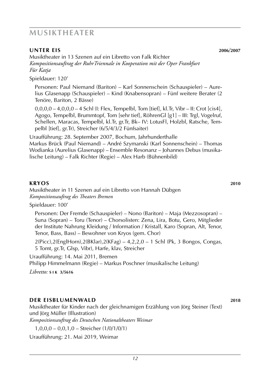## **musiktheater**

#### **UNTER EIS** 2006/2007

Musiktheater in 13 Szenen auf ein Libretto von Falk Richter *Kompositionsauftrag der RuhrTriennale in Kooperation mit der Oper Frankfurt Für Katja*

Spieldauer: 120'

Personen: Paul Niemand (Bariton) – Karl Sonnenschein (Schauspieler) – Aurelius Glasenapp (Schauspieler) – Kind (Knabensopran) – Fünf weitere Berater (2 Tenöre, Bariton, 2 Bässe)

0,0,0,0 – 4,0,0,0 – 4 Schl (I: Flex, Tempelbl, Tom [tief], kl.Tr, Vibr – II: Crot [cis4], Agogo, Tempelbl, Brummtopf, Tom [sehr tief], RöhrenGl [g1] – III: Trgl, Vogelruf, Schellen, Maracas, Tempelbl, kl.Tr, gr.Tr, Bk– IV: LotusFl, Holzbl, Ratsche, Tempelbl [tief], gr.Tr), Streicher (6/5/4/3/2 Fünfsaiter)

Uraufführung: 28. September 2007, Bochum, Jahrhunderthalle Markus Brück (Paul Niemand) – André Szymanski (Karl Sonnenschein) – Thomas Wodianka (Aurelius Glasenapp) – Ensemble Resonanz – Johannes Debus (musikalische Leitung) – Falk Richter (Regie) – Alex Harb (Bühnenbild)

#### **kryos 2010**

Musiktheater in 11 Szenen auf ein Libretto von Hannah Dübgen *Kompositionsauftrag des Theaters Bremen*

Spieldauer: 100'

Personen: Der Fremde (Schauspieler) – Nono (Bariton) – Maja (Mezzosopran) – Suna (Sopran) – Toru (Tenor) – Chorsolisten: Zena, Lira, Botu, Gero, Mitglieder der Institute Nahrung Kleidung / Information / Kristall, Karo (Sopran, Alt, Tenor, Tenor, Bass, Bass) – Bewohner von Kryos (gem. Chor)

2(Picc),2(EnglHorn),2(BKlar),2(KFag) – 4,2,2,0 – 1 Schl (Pk, 3 Bongos, Congas, 5 Tomt, gr.Tr, Glsp, Vibr), Harfe, klav, Streicher

Uraufführung: 14. Mai 2011, Bremen

Philipp Himmelmann (Regie) – Markus Poschner (musikalische Leitung)

*Libretto:* **s i k 3/5616**

#### **DER EISBLUMENWALD 2018**

Musiktheater für Kinder nach der gleichnamigen Erzählung von Jörg Steiner (Text) und Jörg Müller (Illustration)

*Kompositionsauftrag des Deutschen Nationaltheaters Weimar*

1,0,0,0 – 0,0,1,0 – Streicher (1/0/1/0/1)

Uraufführung: 21. Mai 2019, Weimar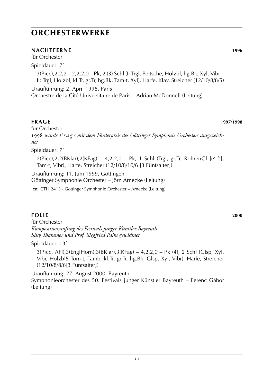#### **Nachtferne 1996**

für Orchester

Spieldauer: 7'

3(Picc),2,2,2 – 2,2,2,0 – Pk, 2 (3) Schl (I: Trgl, Peitsche, Holzbl, hg.Bk, Xyl, Vibr – II: Trgl, Holzbl, kl.Tr, gr.Tr, hg.Bk, Tam-t, Xyl), Harfe, Klav, Streicher (12/10/8/8/5)

Uraufführung: 2. April 1998, Paris Orchestre de la Cité Universitaire de Paris – Adrian McDonnell (Leitung)

**Frage 1997**/**1998**

für Orchester 1998 *wurde F r a g e mit dem Förderpreis des Göttinger Symphonie Orchesters ausgezeichnet*

Spieldauer: 7'

2(Picc),2,2(BKlar),2(KFag) – 4,2,2,0 – Pk, 1 Schl (Trgl, gr.Tr, RöhrenGl [e'-f'], Tam-t, Vibr), Harfe, Streicher (12/10/8/10/6 [3 Fünfsaiter])

Uraufführung: 11. Juni 1999, Göttingen

Göttinger Symphonie Orchester – Jörn Arnecke (Leitung)

c**D**: CTH 2413 · Göttinger Symphonie Orchester – Arnecke (Leitung)

#### **Folie 2000**

für Orchester *Kompositionsauftrag des Festivals junger Künstler Bayreuth Sissy Thammer und Prof. Siegfried Palm gewidmet*

Spieldauer: 13'

3(Picc, AFl),3(EnglHorn),3(BKlar),3(KFag) – 4,2,2,0 – Pk (4), 2 Schl (Glsp, Xyl, Vibr, Holzbl5 Tom-t, Tamb, kl.Tr, gr.Tr, hg.Bk, Glsp, Xyl, Vibr), Harfe, Streicher (12/10/8/8/6[3 Fünfsaiter])

Uraufführung: 27. August 2000, Bayreuth Symphonieorchester des 50. Festivals junger Künstler Bayreuth – Ferenc Gábor (Leitung)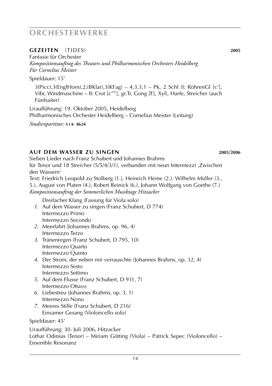#### **Gezeiten** (tides) **2005**

Fantasie für Orchester *Kompositionsauftrag des Theaters und Philharmonischen Orchesters Heidelberg Für Cornelius Meister*

Spieldauer: 15'

3(Picc),3(EnglHorn),2,(BKlar),3(KFag) – 4,3,3,1 – Pk, 2 Schl (I: RöhrenGl [c'], Vibr, Windmaschine – II: Crot [c''''], gr.Tr, Gong [F], Xyl), Harfe, Streicher (auch Fünfsaiter)

Uraufführung: 19. Oktober 2005, Heidelberg Philharmonisches Orchester Heidelberg – Cornelius Meister (Leitung)

*Studienpartitur:* **s i k 8624**

## **Auf dem Wasser zu singen 2005**/**2006**

Sieben Lieder nach Franz Schubert und Johannes Brahms für Tenor und 18 Streicher (5/5/4/3/1), verbunden mit neun Intermezzi ,Zwischen den Wassern' Text: Friedrich Leopold zu Stolberg (1.), Heinrich Heine (2.), Wilhelm Müller (3., 5.), August von Platen (4.), Robert Reinick (6.), Johann Wolfgang von Goethe (7.) *Kompositionsauftrag der Sommerlichen Musiktage Hitzacker*

Dreifacher Klang (Fassung für Viola solo)

- *1*. Auf dem Wasser zu singen (Franz Schubert, D 774) Intermezzo Primo Intermezzo Secondo
- *2*. Meerfahrt (Johannes Brahms, op. 96, 4) Intermezzo Terzo
- *3*. Tränenregen (Franz Schubert, D 795, 10) Intermezzo Quarto Intermezzo Quinto
- *4*. Der Strom, der neben mir verrauschte (Johannes Brahms, op. 32, 4) Intermezzo Sesto Intermezzo Settimo
- *5*. Auf dem Flusse (Franz Schubert, D 911, 7) Intermezzo Ottavo
- *6*. Liebestreu (Johannes Brahms, op. 3, 1) Intermezzo Nono
- *7*. Meeres Stille (Franz Schubert, D 216) Einsamer Gesang (Violoncello solo)

Spieldauer: 45'

Uraufführung: 30. Juli 2006, Hitzacker Lothar Odinius (Tenor) – Miriam Götting (Viola) – Patrick Sepec (Violoncello) – Ensemble Resonanz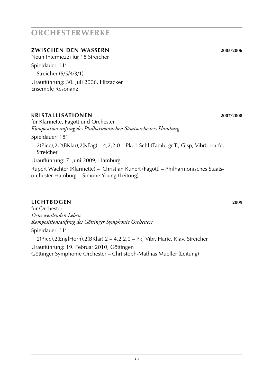## **Zwischen den Wassern 2005**/**2006**

Neun Intermezzi für 18 Streicher Spieldauer: 11' Streicher (5/5/4/3/1) Uraufführung: 30. Juli 2006, Hitzacker Ensemble Resonanz

#### **Kristallisationen 2007**/**2008**

für Klarinette, Fagott und Orchester *Kompositionsauftrag des Philharmonischen Staatsorchesters Hamburg*

Spieldauer: 18'

2(Picc),2,2(BKlar),2(KFag) – 4,2,2,0 – Pk, 1 Schl (Tamb, gr.Tr, Glsp, Vibr), Harfe, Streicher

Uraufführung: 7. Juni 2009, Hamburg

Rupert Wachter (Klarinette) – Christian Kunert (Fagott) – Philharmonisches Staatsorchester Hamburg – Simone Young (Leitung)

## **lichtbogen 2009**

für Orchester *Dem werdenden Leben Kompositionsauftrag des Göttinger Symphonie Orchesters* Spieldauer: 11' 2(Picc),2(EnglHorn),2(BKlar),2 – 4,2,2,0 – Pk, Vibr, Harfe, Klav, Streicher Uraufführung: 19. Februar 2010, Göttingen

Göttinger Symphonie Orchester – Chrtistoph-Mathias Mueller (Leitung)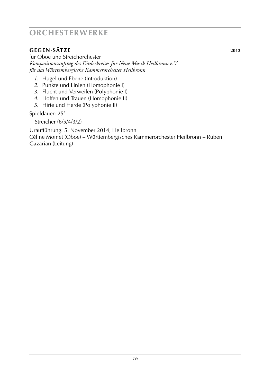## **gegen-sätze 2013**

für Oboe und Streichorchester *Kompositionsauftrag des Förderkreises für Neue Musik Heilbronn e.V für das Württembergische Kammerorchester Heilbronn*

- *1*. Hügel und Ebene (Introduktion)
- *2*. Punkte und Linien (Homophonie I)
- *3*. Flucht und Verweilen (Polyphonie I)
- *4*. Hoffen und Trauen (Homophonie II)
- *5*. Hirte und Herde (Polyphonie II)

Spieldauer: 25'

Streicher (6/5/4/3/2)

Uraufführung: 5. November 2014, Heilbronn

Céline Moinet (Oboe) – Württembergisches Kammerorchester Heilbronn – Ruben Gazarian (Leitung)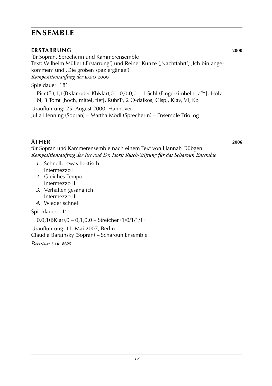# **ensemble**

## **ERSTARRUNG** 2000

für Sopran, Sprecherin und Kammerensemble Text: Wilhelm Müller (,Erstarrung') und Reiner Kunze (,Nachtfahrt', ,Ich bin angekommen' und ,Die großen spaziergänge') *Kompositionsauftrag der* expo 2000

## Spieldauer: 18'

Picc(Fl),1,1(BKlar oder KbKlar),0 – 0,0,0,0 – 1 Schl (Fingerzimbeln [a''''], Holzbl, 3 Tomt [hoch, mittel, tief], RührTr, 2 O-daikos, Glsp), Klav, Vl, Kb Uraufführung: 25. August 2000, Hannover

Julia Henning (Sopran) – Martha Mödl (Sprecherin) – Ensemble TrioLog

## **Äther 2006**

für Sopran und Kammerensemble nach einem Text von Hannah Dübgen *Kompositionsauftrag der Ilse und Dr. Horst Rusch-Stiftung für das Scharoun Ensemble*

- *1*. Schnell, etwas hektisch Intermezzo I
- *2*. Gleiches Tempo Intermezzo II
- *3*. Verhalten gesanglich Intermezzo III
- *4*. Wieder schnell

Spieldauer: 11'

0,0,1(BKlar),0 – 0,1,0,0 – Streicher (1/0/1/1/1)

Uraufführung: 11. Mai 2007, Berlin Claudia Barainsky (Sopran) – Scharoun Ensemble

*Partitur:* **s i k 8625**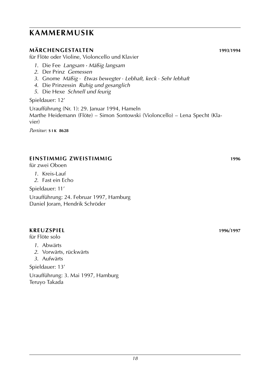## **märchengestalten 1993**/**1994**

für Flöte oder Violine, Violoncello und Klavier

- *1*. Die Fee *Langsam · Mäßig langsam*
- *2*. Der Prinz *Gemessen*
- *3*. Gnome *Mäßig* · *Etwas bewegter* · *Lebhaft, keck* · *Sehr lebhaft*
- *4*. Die Prinzessin *Ruhig und gesanglich*
- *5*. Die Hexe *Schnell und feurig*

#### Spieldauer: 12'

Uraufführung (Nr. 1): 29. Januar 1994, Hameln Marthe Heidemann (Flöte) – Simon Sontowski (Violoncello) – Lena Specht (Klavier)

*Partitur:* **s i k 8628**

## **Einstimmig zweistimmig 1996**

für zwei Oboen

- *1*. Kreis-Lauf
- *2*. Fast ein Echo

Spieldauer: 11'

Uraufführung: 24. Februar 1997, Hamburg Daniel Joram, Hendrik Schröder

#### **Kreuzspiel 1996**/**1997**

für Flöte solo

- *1*. Abwärts
- *2*. Vorwärts, rückwärts
- *3*. Aufwärts

Spieldauer: 13'

Uraufführung: 3. Mai 1997, Hamburg Teruyo Takada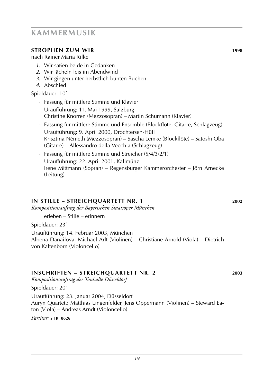- Uraufführung: 11. Mai 1999, Salzburg Christine Knorren (Mezzosopran) – Martin Schumann (Klavier)
- Uraufführung: 9. April 2000, Drochtersen-Hüll Krisztina Németh (Mezzosopran) – Sascha Lemke (Blockflöte) – Satoshi Oba
- *·* Fassung für mittlere Stimme und Streicher (5/4/3/2/1) Uraufführung: 22. April 2001, Kallmünz Irene Mittmann (Sopran) – Regensburger Kammerorchester – Jörn Arnecke (Leitung)

#### **in stille – Streichquartett Nr. 1 2002**

*Kompositionsauftrag der Bayerischen Staatsoper München*

erleben – Stille – erinnern

Spieldauer: 23'

Uraufführung: 14. Februar 2003, München Albena Danailova, Michael Arlt (Violinen) – Christiane Arnold (Viola) – Dietrich von Kaltenborn (Violoncello)

#### **Inschriften – Streichquartett Nr. 2 2003**

*Kompositionsauftrag der Tonhalle Düsseldorf*

Spieldauer: 20'

Uraufführung: 23. Januar 2004, Düsseldorf Auryn Quartett: Matthias Lingenfelder, Jens Oppermann (Violinen) – Steward Eaton (Viola) – Andreas Arndt (Violoncello)

*Partitur:* **s i k 8626**

## **kammermusik**

## **Strophen zum Wir 1998**

nach Rainer Maria Rilke

- *1*. Wir saßen beide in Gedanken
- *2*. Wir lächeln leis im Abendwind
- *3*. Wir gingen unter herbstlich bunten Buchen
- *4*. Abschied

Spieldauer: 10' *·* Fassung für mittlere Stimme und Klavier

- 
- *·* Fassung für mittlere Stimme und Ensemble (Blockflöte, Gitarre, Schlagzeug) (Gitarre) – Allessandro della Vecchia (Schlagzeug)
-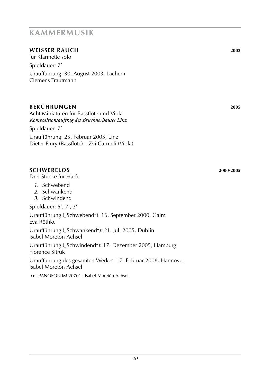## **weisser rauch 2003**

für Klarinette solo Spieldauer: 7' Uraufführung: 30. August 2003, Lachem Clemens Trautmann

## **Berührungen 2005**

Acht Miniaturen für Bassflöte und Viola *Kompositionsauftrag des Brucknerhauses Linz* Spieldauer: 7'

Uraufführung: 25. Februar 2005, Linz Dieter Flury (Bassflöte) – Zvi Carmeli (Viola)

## **Schwerelos 2000**/**2005**

Drei Stücke für Harfe

- *1*. Schwebend
- *2*. Schwankend
- *3*. Schwindend

Spieldauer: 5', 7', 3'

Uraufführung ("Schwebend"): 16. September 2000, Galm Eva Röthke

Uraufführung ("Schwankend"): 21. Juli 2005, Dublin Isabel Moretón Achsel

Uraufführung ("Schwindend"): 17. Dezember 2005, Hamburg Florence Sitruk

Uraufführung des gesamten Werkes: 17. Februar 2008, Hannover Isabel Moretón Achsel

**cd**: panofon im 20701 · Isabel Moretón Achsel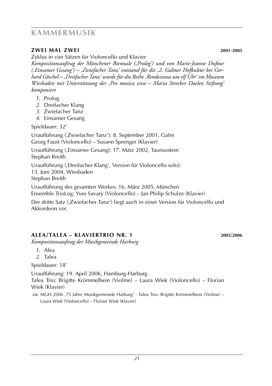#### **zwei mal zwei 2001**-**2005**

Zyklus in vier Sätzen für Violoncello und Klavier

*Kompositionsauftrag der Münchener Biennale (,Prolog') und von Marie-Jeanne Dufour (,Einsamer Gesang') – ,Zwiefacher Tanz' entstand für die ,2. Galmer Hofkultur bei Gerhard Göschel – ,Dreifacher Tanz' wurde für die Reihe ,Rendezvous um elf Uhr' im Museum Wiesbaden mit Unterstützung der ,Pro musica viva – Maria Strecker Daelen Stiftung' komponiert*

- *1*. Prolog
- *2*. Dreifacher Klang
- *3*. Zwiefacher Tanz
- *4*. Einsamer Gesang

Spieldauer: 32'

Uraufführung (,Zwiefacher Tanz'): 8. September 2001, Galm Georg Faust (Violoncello) – Susann Sprenger (Klavier)

Uraufführung (,Einsamer Gesang): 17. März 2002, Taunusstein Stephan Breith

Uraufführung (,Dreifacher Klang', Version für Violoncello solo): 13. Juni 2004, Wiesbaden Stephan Breith

Uraufführung des gesamten Werkes: 16. März 2005, München

Ensemble TrioLog: Yves Savary (Violoncello) – Jan Philip Schulze (Klavier)

Der dritte Satz (,Zwiefacher Tanz') liegt auch in einer Version für Violoncello und Akkordeon vor.

## **Alea/Talea – Klaviertrio Nr. 1 2005**/**2006**

*Kompositionsauftrag der Musikgemeinde Harburg*

- *1*. Alea
- *2*. Talea

Spieldauer: 18'

Uraufführung: 19. April 2006, Hamburg-Harburg Talea Trio: Brigitte Krömmelbein (Violine) – Laura Wiek (Violoncello) – Florian Wiek (Klavier)

cp: MGH 2006 ,75 Jahre Musikgemeinde Harburg' · Talea Trio: Brigitte Krömmelbein (Violine) – Laura Wiek (Violoncello) – Florian Wiek (Klavier)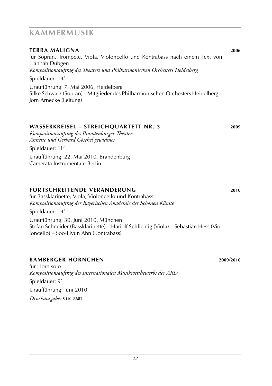## für Sopran, Trompete, Viola, Violoncello und Kontrabass nach einem Text von Hannah Dübgen *Kompositionsauftrag des Theaters und Philharmonischen Orchesters Heidelberg* Spieldauer: 14' Uraufführung: 7. Mai 2006, Heidelberg Silke Schwarz (Sopran) – Mitglieder des Philharmonischen Orchesters Heidelberg – Jörn Arnecke (Leitung) **wasserkreisel – Streichquartett Nr. 3 2009** *Kompositionsauftrag des Brandenburger Theaters Annette und Gerhard Göschel gewidmet* Spieldauer: 11' Uraufführung: 22. Mai 2010, Brandenburg

**Terra maligna 2006**

Camerata Instrumentale Berlin

## **fortschreitende veränderung 2010**

für Bassklarinette, Viola, Violoncello und Kontrabass *Kompositionsauftrag der Bayerischen Akademie der Schönen Künste* Spieldauer: 14' Uraufführung: 30. Juni 2010, München Stefan Schneider (Bassklarinette) – Hariolf Schlichtig (Viola) – Sebastian Hess (Violoncello) – Soo-Hyun Ahn (Kontrabass)

## **bamberger hörnchen 2009**/**2010**

für Horn solo *Kompositionsauftrag des Internationalen Musikwettbewerbs der ARD* Spieldauer: 9' Uraufführung: Juni 2010 *Druckausgabe:* **s i k 8682**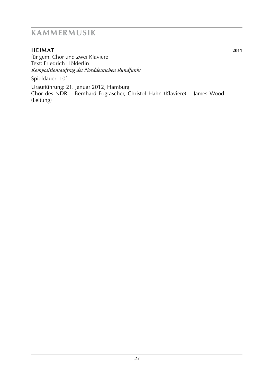## **heimat 2011**

für gem. Chor und zwei Klaviere Text: Friedrich Hölderlin *Kompositionsauftrag des Norddeutschen Rundfunks*

Spieldauer: 10'

Uraufführung: 21. Januar 2012, Hamburg Chor des NDR – Bernhard Fograscher, Christof Hahn (Klaviere) – James Wood (Leitung)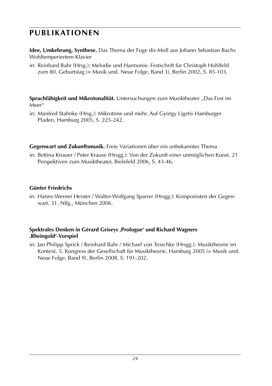# **publikationen**

**Idee, Umkehrung, Synthese.** Das Thema der Fuge dis-Moll aus Johann Sebastian Bachs Wohltemperiertem Klavier

in: Reinhard Bahr (Hrsg.): Melodie und Harmonie. Festschrift für Christoph Hohlfeld zum 80. Geburtstag (= Musik und. Neue Folge, Band 3), Berlin 2002, S. 85-103.

**Sprachfähigkeit und Mikrotonalität.** Untersuchungen zum Musiktheater "Das Fest im Meer"

in: Manfred Stahnke (Hrsg.): Mikrotöne und mehr. Auf György Ligetis Hamburger Pfaden, Hamburg 2005, S. 225-242.

**Gegenwart und Zukunftsmusik.** Freie Variationen über ein unbekanntes Thema

in: Bettina Knauer / Peter Krause (Hrsgg.): Von der Zukunft einer unmöglichen Kunst. 21 Perspektiven zum Musiktheater, Bielefeld 2006, S. 43-46.

## **Günter Friedrichs**

in: Hanns-Werner Heister / Walter-Wolfgang Sparrer (Hrsgg.): Komponisten der Gegenwart, 31. Nlfg., München 2006.

#### **Spektrales Denken in Gérard Griseys ,Prologue' und Richard Wagners ,Rheingold'-Vorspiel**

in: Jan Philipp Sprick / Reinhard Bahr / Michael von Troschke (Hrsgg.): Musiktheorie im Kontext. 5. Kongress der Gesellschaft für Musiktheorie, Hamburg 2005 (= Musik und. Neue Folge, Band 9), Berlin 2008, S. 191-202.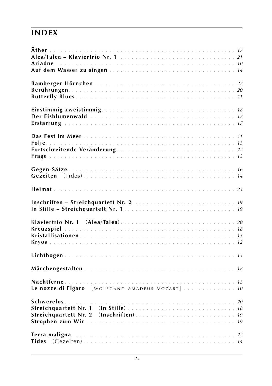# **index**

| Le nozze di Figaro [WOLFGANG AMADEUS MOZART]  10 |  |
|--------------------------------------------------|--|
|                                                  |  |
|                                                  |  |